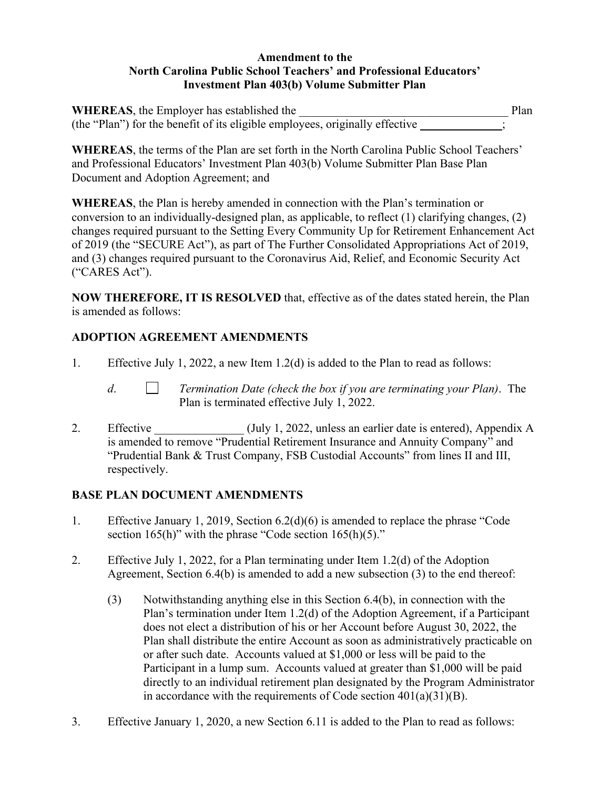#### **Amendment to the North Carolina Public School Teachers' and Professional Educators' Investment Plan 403(b) Volume Submitter Plan**

| <b>WHEREAS</b> , the Employer has established the                            | Plan |
|------------------------------------------------------------------------------|------|
| (the "Plan") for the benefit of its eligible employees, originally effective |      |

**WHEREAS**, the terms of the Plan are set forth in the North Carolina Public School Teachers' and Professional Educators' Investment Plan 403(b) Volume Submitter Plan Base Plan Document and Adoption Agreement; and

**WHEREAS**, the Plan is hereby amended in connection with the Plan's termination or conversion to an individually-designed plan, as applicable, to reflect (1) clarifying changes, (2) changes required pursuant to the Setting Every Community Up for Retirement Enhancement Act of 2019 (the "SECURE Act"), as part of The Further Consolidated Appropriations Act of 2019, and (3) changes required pursuant to the Coronavirus Aid, Relief, and Economic Security Act ("CARES Act").

**NOW THEREFORE, IT IS RESOLVED** that, effective as of the dates stated herein, the Plan is amended as follows:

# **ADOPTION AGREEMENT AMENDMENTS**

- 1. Effective July 1, 2022, a new Item 1.2(d) is added to the Plan to read as follows:
	- *d*. *Termination Date (check the box if you are terminating your Plan)*. The Plan is terminated effective July 1, 2022.
- 2. Effective (July 1, 2022, unless an earlier date is entered), Appendix A is amended to remove "Prudential Retirement Insurance and Annuity Company" and "Prudential Bank & Trust Company, FSB Custodial Accounts" from lines II and III, respectively.

## **BASE PLAN DOCUMENT AMENDMENTS**

- 1. Effective January 1, 2019, Section 6.2(d)(6) is amended to replace the phrase "Code section  $165(h)$ " with the phrase "Code section  $165(h)(5)$ ."
- 2. Effective July 1, 2022, for a Plan terminating under Item 1.2(d) of the Adoption Agreement, Section 6.4(b) is amended to add a new subsection (3) to the end thereof:
	- (3) Notwithstanding anything else in this Section 6.4(b), in connection with the Plan's termination under Item 1.2(d) of the Adoption Agreement, if a Participant does not elect a distribution of his or her Account before August 30, 2022, the Plan shall distribute the entire Account as soon as administratively practicable on or after such date. Accounts valued at \$1,000 or less will be paid to the Participant in a lump sum. Accounts valued at greater than \$1,000 will be paid directly to an individual retirement plan designated by the Program Administrator in accordance with the requirements of Code section  $401(a)(31)(B)$ .
- 3. Effective January 1, 2020, a new Section 6.11 is added to the Plan to read as follows: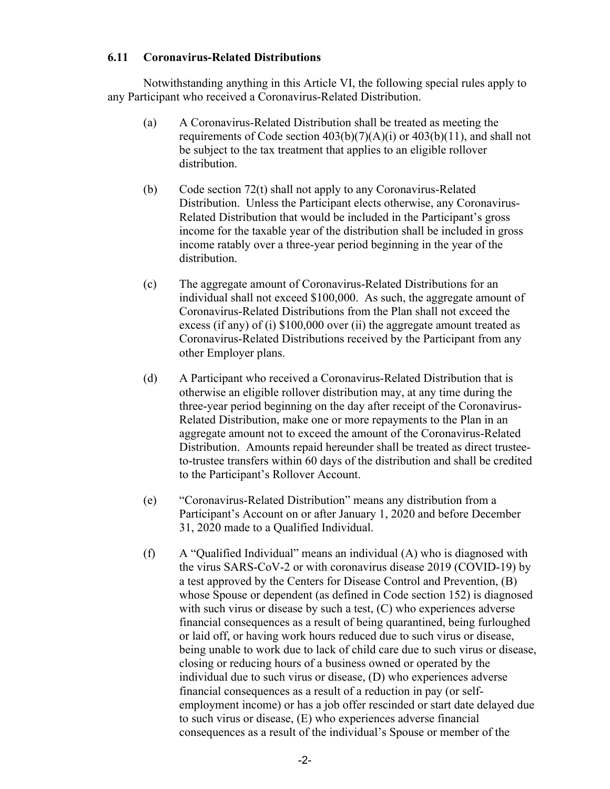#### **6.11 Coronavirus-Related Distributions**

Notwithstanding anything in this Article VI, the following special rules apply to any Participant who received a Coronavirus-Related Distribution.

- (a) A Coronavirus-Related Distribution shall be treated as meeting the requirements of Code section  $403(b)(7)(A)(i)$  or  $403(b)(11)$ , and shall not be subject to the tax treatment that applies to an eligible rollover distribution.
- (b) Code section 72(t) shall not apply to any Coronavirus-Related Distribution. Unless the Participant elects otherwise, any Coronavirus-Related Distribution that would be included in the Participant's gross income for the taxable year of the distribution shall be included in gross income ratably over a three-year period beginning in the year of the distribution.
- (c) The aggregate amount of Coronavirus-Related Distributions for an individual shall not exceed \$100,000. As such, the aggregate amount of Coronavirus-Related Distributions from the Plan shall not exceed the excess (if any) of (i) \$100,000 over (ii) the aggregate amount treated as Coronavirus-Related Distributions received by the Participant from any other Employer plans.
- (d) A Participant who received a Coronavirus-Related Distribution that is otherwise an eligible rollover distribution may, at any time during the three-year period beginning on the day after receipt of the Coronavirus-Related Distribution, make one or more repayments to the Plan in an aggregate amount not to exceed the amount of the Coronavirus-Related Distribution. Amounts repaid hereunder shall be treated as direct trusteeto-trustee transfers within 60 days of the distribution and shall be credited to the Participant's Rollover Account.
- (e) "Coronavirus-Related Distribution" means any distribution from a Participant's Account on or after January 1, 2020 and before December 31, 2020 made to a Qualified Individual.
- (f) A "Qualified Individual" means an individual (A) who is diagnosed with the virus SARS-CoV-2 or with coronavirus disease 2019 (COVID-19) by a test approved by the Centers for Disease Control and Prevention, (B) whose Spouse or dependent (as defined in Code section 152) is diagnosed with such virus or disease by such a test, (C) who experiences adverse financial consequences as a result of being quarantined, being furloughed or laid off, or having work hours reduced due to such virus or disease, being unable to work due to lack of child care due to such virus or disease, closing or reducing hours of a business owned or operated by the individual due to such virus or disease, (D) who experiences adverse financial consequences as a result of a reduction in pay (or selfemployment income) or has a job offer rescinded or start date delayed due to such virus or disease, (E) who experiences adverse financial consequences as a result of the individual's Spouse or member of the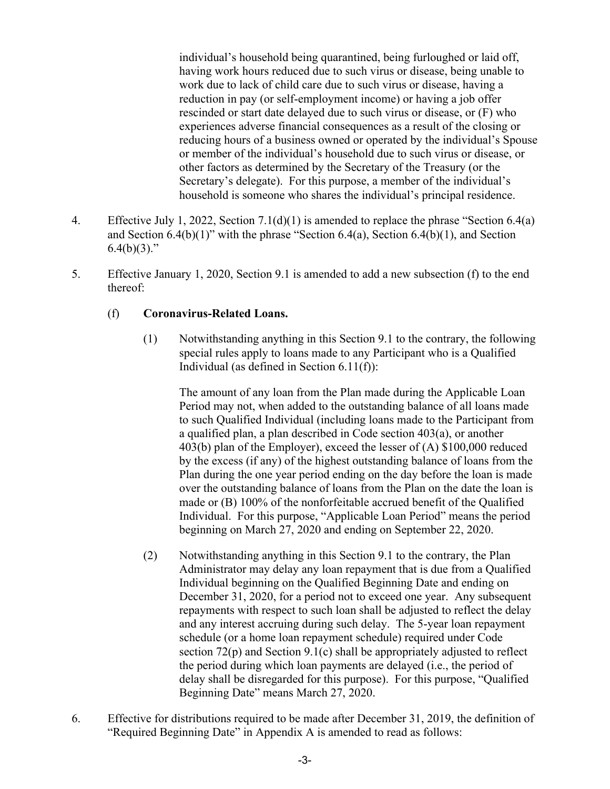individual's household being quarantined, being furloughed or laid off, having work hours reduced due to such virus or disease, being unable to work due to lack of child care due to such virus or disease, having a reduction in pay (or self-employment income) or having a job offer rescinded or start date delayed due to such virus or disease, or (F) who experiences adverse financial consequences as a result of the closing or reducing hours of a business owned or operated by the individual's Spouse or member of the individual's household due to such virus or disease, or other factors as determined by the Secretary of the Treasury (or the Secretary's delegate). For this purpose, a member of the individual's household is someone who shares the individual's principal residence.

- 4. Effective July 1, 2022, Section 7.1(d)(1) is amended to replace the phrase "Section 6.4(a) and Section 6.4(b)(1)" with the phrase "Section 6.4(a), Section 6.4(b)(1), and Section  $6.4(b)(3)$ ."
- 5. Effective January 1, 2020, Section 9.1 is amended to add a new subsection (f) to the end thereof:

### (f) **Coronavirus-Related Loans.**

(1) Notwithstanding anything in this Section 9.1 to the contrary, the following special rules apply to loans made to any Participant who is a Qualified Individual (as defined in Section 6.11(f)):

The amount of any loan from the Plan made during the Applicable Loan Period may not, when added to the outstanding balance of all loans made to such Qualified Individual (including loans made to the Participant from a qualified plan, a plan described in Code section 403(a), or another 403(b) plan of the Employer), exceed the lesser of (A) \$100,000 reduced by the excess (if any) of the highest outstanding balance of loans from the Plan during the one year period ending on the day before the loan is made over the outstanding balance of loans from the Plan on the date the loan is made or (B) 100% of the nonforfeitable accrued benefit of the Qualified Individual. For this purpose, "Applicable Loan Period" means the period beginning on March 27, 2020 and ending on September 22, 2020.

- (2) Notwithstanding anything in this Section 9.1 to the contrary, the Plan Administrator may delay any loan repayment that is due from a Qualified Individual beginning on the Qualified Beginning Date and ending on December 31, 2020, for a period not to exceed one year. Any subsequent repayments with respect to such loan shall be adjusted to reflect the delay and any interest accruing during such delay. The 5-year loan repayment schedule (or a home loan repayment schedule) required under Code section 72(p) and Section 9.1(c) shall be appropriately adjusted to reflect the period during which loan payments are delayed (i.e., the period of delay shall be disregarded for this purpose). For this purpose, "Qualified Beginning Date" means March 27, 2020.
- 6. Effective for distributions required to be made after December 31, 2019, the definition of "Required Beginning Date" in Appendix A is amended to read as follows: